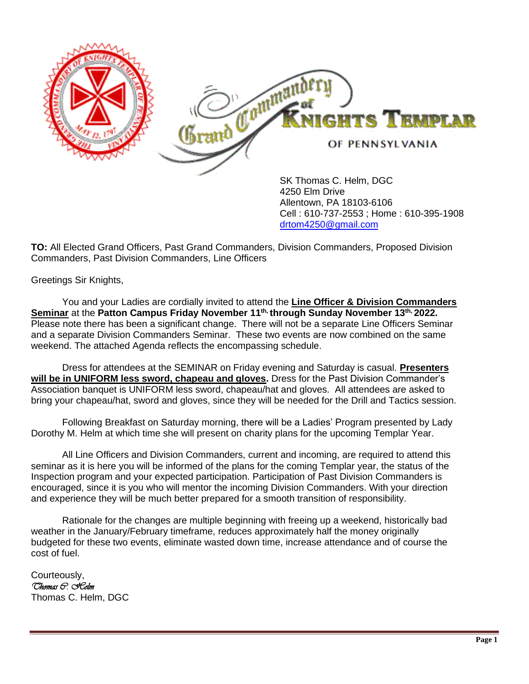

4250 Elm Drive Allentown, PA 18103-6106 Cell : 610-737-2553 ; Home : 610-395-1908 [drtom4250@gmail.com](mailto:drtom4250@gmail.com)

**TO:** All Elected Grand Officers, Past Grand Commanders, Division Commanders, Proposed Division Commanders, Past Division Commanders, Line Officers

Greetings Sir Knights,

You and your Ladies are cordially invited to attend the **Line Officer & Division Commanders Seminar** at the **Patton Campus Friday November 11th, through Sunday November 13th, 2022.** Please note there has been a significant change. There will not be a separate Line Officers Seminar and a separate Division Commanders Seminar. These two events are now combined on the same weekend. The attached Agenda reflects the encompassing schedule.

Dress for attendees at the SEMINAR on Friday evening and Saturday is casual. **Presenters will be in UNIFORM less sword, chapeau and gloves.** Dress for the Past Division Commander's Association banquet is UNIFORM less sword, chapeau/hat and gloves. All attendees are asked to bring your chapeau/hat, sword and gloves, since they will be needed for the Drill and Tactics session.

Following Breakfast on Saturday morning, there will be a Ladies' Program presented by Lady Dorothy M. Helm at which time she will present on charity plans for the upcoming Templar Year.

All Line Officers and Division Commanders, current and incoming, are required to attend this seminar as it is here you will be informed of the plans for the coming Templar year, the status of the Inspection program and your expected participation. Participation of Past Division Commanders is encouraged, since it is you who will mentor the incoming Division Commanders. With your direction and experience they will be much better prepared for a smooth transition of responsibility.

Rationale for the changes are multiple beginning with freeing up a weekend, historically bad weather in the January/February timeframe, reduces approximately half the money originally budgeted for these two events, eliminate wasted down time, increase attendance and of course the cost of fuel.

Courteously, *Thomas C. Helm* Thomas C. Helm, DGC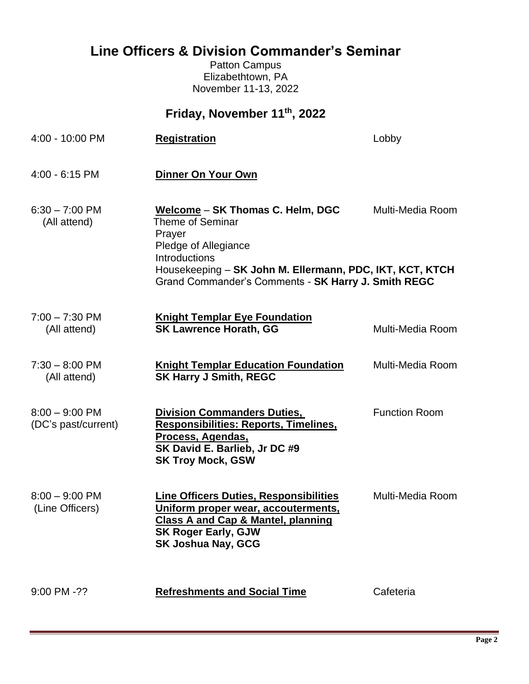## **Line Officers & Division Commander's Seminar**

Patton Campus Elizabethtown, PA November 11-13, 2022

| Friday, November 11th, 2022             |                                                                                                                                                                                                                            |                      |  |
|-----------------------------------------|----------------------------------------------------------------------------------------------------------------------------------------------------------------------------------------------------------------------------|----------------------|--|
| 4:00 - 10:00 PM                         | <b>Registration</b>                                                                                                                                                                                                        | Lobby                |  |
| $4:00 - 6:15$ PM                        | Dinner On Your Own                                                                                                                                                                                                         |                      |  |
| $6:30 - 7:00$ PM<br>(All attend)        | Welcome - SK Thomas C. Helm, DGC<br>Theme of Seminar<br>Prayer<br>Pledge of Allegiance<br>Introductions<br>Housekeeping - SK John M. Ellermann, PDC, IKT, KCT, KTCH<br>Grand Commander's Comments - SK Harry J. Smith REGC | Multi-Media Room     |  |
| $7:00 - 7:30$ PM<br>(All attend)        | <b>Knight Templar Eye Foundation</b><br><b>SK Lawrence Horath, GG</b>                                                                                                                                                      | Multi-Media Room     |  |
| $7:30 - 8:00$ PM<br>(All attend)        | <b>Knight Templar Education Foundation</b><br><b>SK Harry J Smith, REGC</b>                                                                                                                                                | Multi-Media Room     |  |
| $8:00 - 9:00$ PM<br>(DC's past/current) | <b>Division Commanders Duties,</b><br><b>Responsibilities: Reports, Timelines,</b><br>Process, Agendas,<br>SK David E. Barlieb, Jr DC #9<br><b>SK Troy Mock, GSW</b>                                                       | <b>Function Room</b> |  |
| $8:00 - 9:00$ PM<br>(Line Officers)     | <b>Line Officers Duties, Responsibilities</b><br><u>Uniform proper wear, accouterments,</u><br><b>Class A and Cap &amp; Mantel, planning</b><br><b>SK Roger Early, GJW</b><br><b>SK Joshua Nay, GCG</b>                    | Multi-Media Room     |  |
| $9:00$ PM $-$ ??                        | <b>Refreshments and Social Time</b>                                                                                                                                                                                        | Cafeteria            |  |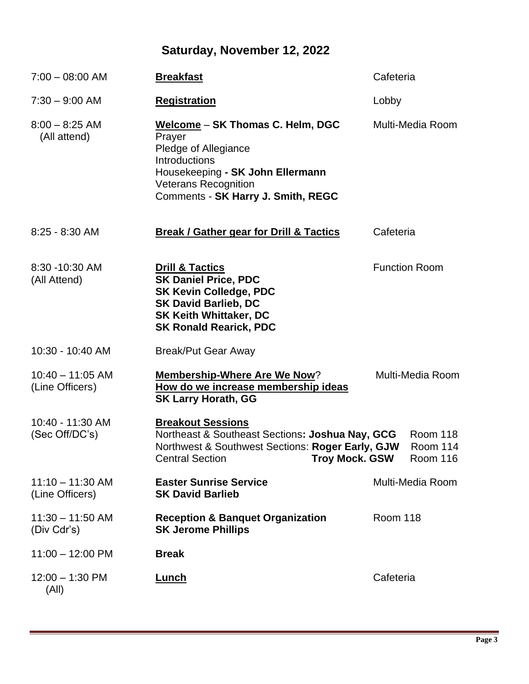# **Saturday, November 12, 2022**

| $7:00 - 08:00$ AM                     | <b>Breakfast</b>                                                                                                                                                                                    | Cafeteria            |                                  |
|---------------------------------------|-----------------------------------------------------------------------------------------------------------------------------------------------------------------------------------------------------|----------------------|----------------------------------|
| $7:30 - 9:00$ AM                      | <b>Registration</b>                                                                                                                                                                                 | Lobby                |                                  |
| $8:00 - 8:25$ AM<br>(All attend)      | Welcome - SK Thomas C. Helm, DGC<br>Prayer<br>Pledge of Allegiance<br><b>Introductions</b><br>Housekeeping - SK John Ellermann<br><b>Veterans Recognition</b><br>Comments - SK Harry J. Smith, REGC |                      | Multi-Media Room                 |
| $8:25 - 8:30$ AM                      | <b>Break / Gather gear for Drill &amp; Tactics</b>                                                                                                                                                  | Cafeteria            |                                  |
| 8:30 - 10:30 AM<br>(All Attend)       | <b>Drill &amp; Tactics</b><br><b>SK Daniel Price, PDC</b><br><b>SK Kevin Colledge, PDC</b><br><b>SK David Barlieb, DC</b><br><b>SK Keith Whittaker, DC</b><br><b>SK Ronald Rearick, PDC</b>         | <b>Function Room</b> |                                  |
| 10:30 - 10:40 AM                      | <b>Break/Put Gear Away</b>                                                                                                                                                                          |                      |                                  |
| $10:40 - 11:05$ AM<br>(Line Officers) | <b>Membership-Where Are We Now?</b><br>How do we increase membership ideas<br><b>SK Larry Horath, GG</b>                                                                                            |                      | Multi-Media Room                 |
| 10:40 - 11:30 AM<br>(Sec Off/DC's)    | <b>Breakout Sessions</b><br>Northeast & Southeast Sections: Joshua Nay, GCG<br>Northwest & Southwest Sections: Roger Early, GJW<br><b>Central Section</b><br>Troy Mock. GSW                         |                      | Room 118<br>Room 114<br>Room 116 |
| $11:10 - 11:30$ AM<br>(Line Officers) | <b>Easter Sunrise Service</b><br><b>SK David Barlieb</b>                                                                                                                                            |                      | Multi-Media Room                 |
| $11:30 - 11:50$ AM<br>(Div Cdr's)     | <b>Reception &amp; Banquet Organization</b><br><b>SK Jerome Phillips</b>                                                                                                                            | <b>Room 118</b>      |                                  |
| $11:00 - 12:00$ PM                    | <b>Break</b>                                                                                                                                                                                        |                      |                                  |
| $12:00 - 1:30$ PM<br>(All)            | <u>Lunch</u>                                                                                                                                                                                        | Cafeteria            |                                  |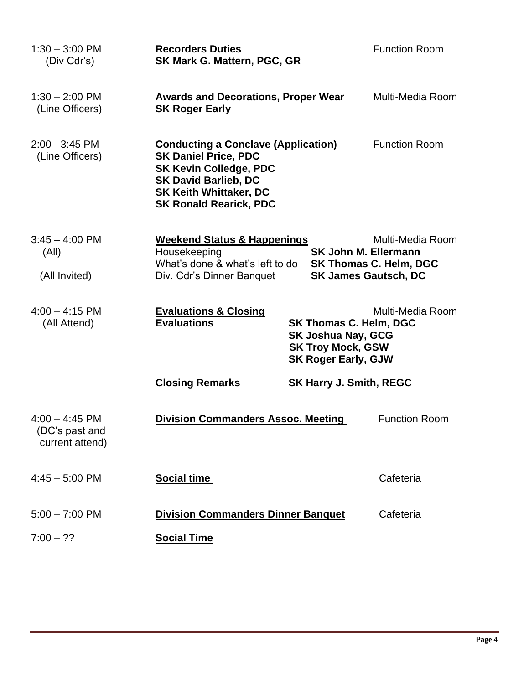| $1:30 - 3:00$ PM<br>(Div Cdr's)                       | <b>Recorders Duties</b><br><b>SK Mark G. Mattern, PGC, GR</b>                                                                                                                                               |                                                                                                                      | <b>Function Room</b>                              |
|-------------------------------------------------------|-------------------------------------------------------------------------------------------------------------------------------------------------------------------------------------------------------------|----------------------------------------------------------------------------------------------------------------------|---------------------------------------------------|
| $1:30 - 2:00$ PM<br>(Line Officers)                   | <b>Awards and Decorations, Proper Wear</b><br><b>SK Roger Early</b>                                                                                                                                         |                                                                                                                      | Multi-Media Room                                  |
| $2:00 - 3:45$ PM<br>(Line Officers)                   | <b>Conducting a Conclave (Application)</b><br><b>SK Daniel Price, PDC</b><br><b>SK Kevin Colledge, PDC</b><br><b>SK David Barlieb, DC</b><br><b>SK Keith Whittaker, DC</b><br><b>SK Ronald Rearick, PDC</b> |                                                                                                                      | <b>Function Room</b>                              |
| $3:45 - 4:00$ PM<br>(AII)<br>(All Invited)            | <b>Weekend Status &amp; Happenings</b><br>Housekeeping<br>What's done & what's left to do<br>Div. Cdr's Dinner Banquet                                                                                      | <b>SK John M. Ellermann</b><br><b>SK James Gautsch, DC</b>                                                           | Multi-Media Room<br><b>SK Thomas C. Helm, DGC</b> |
| $4:00 - 4:15$ PM<br>(All Attend)                      | <b>Evaluations &amp; Closing</b><br><b>Evaluations</b>                                                                                                                                                      | <b>SK Thomas C. Helm, DGC</b><br><b>SK Joshua Nay, GCG</b><br><b>SK Troy Mock, GSW</b><br><b>SK Roger Early, GJW</b> | Multi-Media Room                                  |
|                                                       | <b>Closing Remarks</b>                                                                                                                                                                                      | <b>SK Harry J. Smith, REGC</b>                                                                                       |                                                   |
| $4:00 - 4:45$ PM<br>(DC's past and<br>current attend) | <b>Division Commanders Assoc. Meeting</b>                                                                                                                                                                   |                                                                                                                      | <b>Function Room</b>                              |
| $4:45 - 5:00$ PM                                      | <b>Social time</b>                                                                                                                                                                                          |                                                                                                                      | Cafeteria                                         |
| $5:00 - 7:00$ PM                                      | <b>Division Commanders Dinner Banquet</b>                                                                                                                                                                   |                                                                                                                      | Cafeteria                                         |
| $7:00 - ??$                                           | <b>Social Time</b>                                                                                                                                                                                          |                                                                                                                      |                                                   |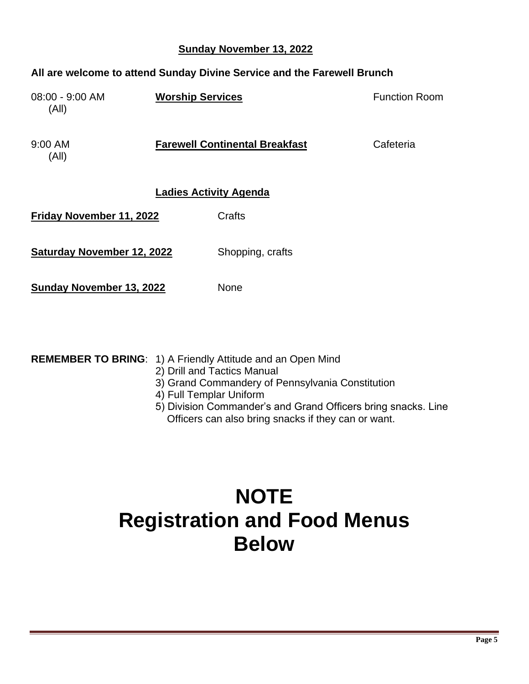### **Sunday November 13, 2022**

### **All are welcome to attend Sunday Divine Service and the Farewell Brunch**

| 08:00 - 9:00 AM<br>(A  )          | <b>Worship Services</b> |                                       | <b>Function Room</b> |
|-----------------------------------|-------------------------|---------------------------------------|----------------------|
| $9:00$ AM<br>(A  )                |                         | <b>Farewell Continental Breakfast</b> | Cafeteria            |
| <b>Ladies Activity Agenda</b>     |                         |                                       |                      |
| Friday November 11, 2022          |                         | Crafts                                |                      |
| <b>Saturday November 12, 2022</b> |                         | Shopping, crafts                      |                      |
| Sunday November 13, 2022          |                         | None                                  |                      |

| <b>REMEMBER TO BRING: 1) A Friendly Attitude and an Open Mind</b> |
|-------------------------------------------------------------------|
| 2) Drill and Tactics Manual                                       |

- 3) Grand Commandery of Pennsylvania Constitution
- 4) Full Templar Uniform
- 5) Division Commander's and Grand Officers bring snacks. Line Officers can also bring snacks if they can or want.

# **NOTE Registration and Food Menus Below**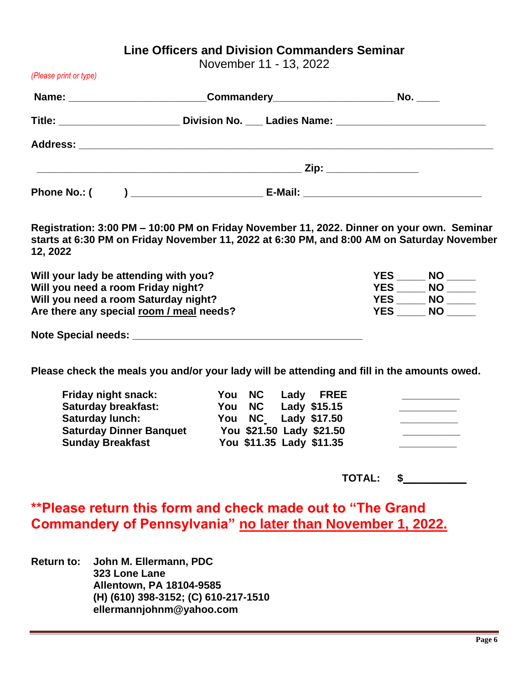### **Line Officers and Division Commanders Seminar**

November 11 - 13, 2022

|  | Name: ________________________________Commandery________________________________ No. ______          |  |
|--|------------------------------------------------------------------------------------------------------|--|
|  | Title: ________________________________Division No. ____ Ladies Name: ______________________________ |  |
|  |                                                                                                      |  |
|  |                                                                                                      |  |
|  |                                                                                                      |  |
|  | Registration: 3:00 PM – 10:00 PM on Friday November 11, 2022. Dinner on your own. Seminar            |  |

**Registration: 3:00 PM – 10:00 PM on Friday November 11, 2022. Dinner on your own. Seminar starts at 6:30 PM on Friday November 11, 2022 at 6:30 PM, and 8:00 AM on Saturday November 12, 2022**

| Will your lady be attending with you?    | <b>YES</b><br><b>NO</b> |
|------------------------------------------|-------------------------|
| Will you need a room Friday night?       | <b>YES</b><br><b>NO</b> |
| Will you need a room Saturday night?     | <b>YES</b><br><b>NO</b> |
| Are there any special room / meal needs? | <b>YES</b><br><b>NO</b> |
|                                          |                         |

**Note Special needs: Note Special needs: Note 3** 

*(Please print or type)*

**Please check the meals you and/or your lady will be attending and fill in the amounts owed.**

| Friday night snack:            | You NC Lady FREE         |  |
|--------------------------------|--------------------------|--|
| <b>Saturday breakfast:</b>     | You NC Lady \$15.15      |  |
| <b>Saturday lunch:</b>         | You NC Lady \$17.50      |  |
| <b>Saturday Dinner Banquet</b> | You \$21.50 Lady \$21.50 |  |
| <b>Sunday Breakfast</b>        | You \$11.35 Lady \$11.35 |  |

 **TOTAL: \$\_\_\_\_\_\_\_\_\_\_\_**

**\*\*Please return this form and check made out to "The Grand Commandery of Pennsylvania" no later than November 1, 2022.**

**Return to: John M. Ellermann, PDC 323 Lone Lane Allentown, PA 18104-9585 (H) (610) 398-3152; (C) 610-217-1510 ellermannjohnm@yahoo.com**